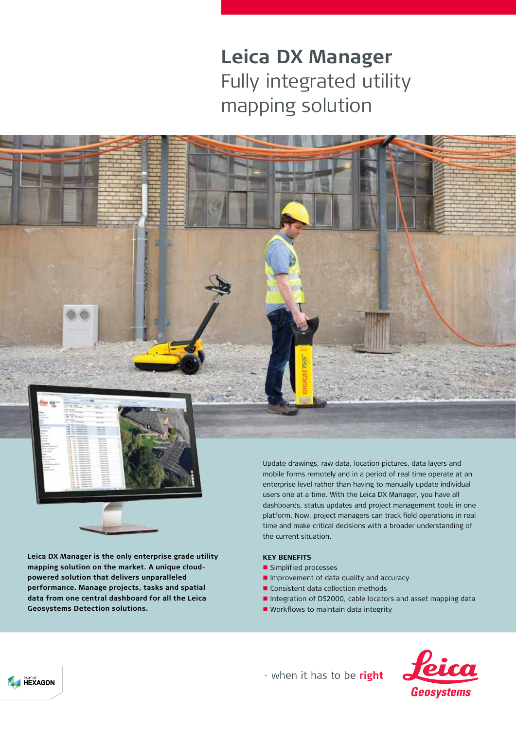# **Leica DX Manager** Fully integrated utility mapping solution



**Leica DX Manager is the only enterprise grade utility mapping solution on the market. A unique cloudpowered solution that delivers unparalleled performance. Manage projects, tasks and spatial data from one central dashboard for all the Leica Geosystems Detection solutions.**

Update drawings, raw data, location pictures, data layers and mobile forms remotely and in a period of real time operate at an enterprise level rather than having to manually update individual users one at a time. With the Leica DX Manager, you have all dashboards, status updates and project management tools in one platform. Now, project managers can track field operations in real time and make critical decisions with a broader understanding of the current situation.

### **KEY BENEFITS**

- **n** Simplified processes
- **n** Improvement of data quality and accuracy
- Consistent data collection methods
- n Integration of DS2000, cable locators and asset mapping data
- $\blacksquare$  Workflows to maintain data integrity



- when it has to be right